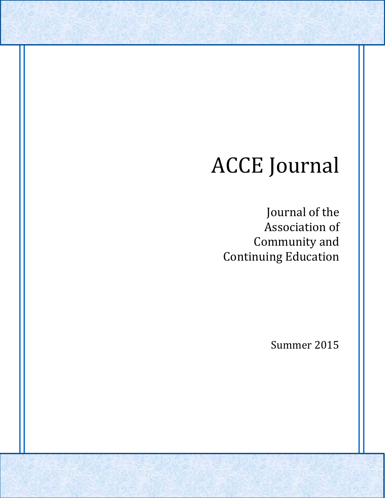# ACCE Journal

Journal of the Association of Community and Continuing Education

Summer 2015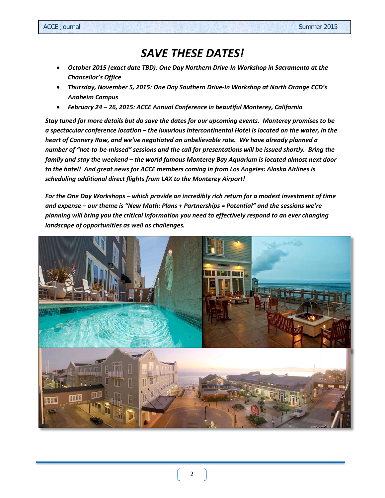# *SAVE THESE DATES!*

- *October 2015 (exact date TBD): One Day Northern Drive-In Workshop in Sacramento at the Chancellor's Office*
- *Thursday, November 5, 2015: One Day Southern Drive-In Workshop at North Orange CCD's Anaheim Campus*
- *February 24 – 26, 2015: ACCE Annual Conference in beautiful Monterey, California*

*Stay tuned for more details but do save the dates for our upcoming events. Monterey promises to be a spectacular conference location – the luxurious Intercontinental Hotel is located on the water, in the heart of Cannery Row, and we've negotiated an unbelievable rate. We have already planned a number of "not-to-be-missed" sessions and the call for presentations will be issued shortly. Bring the family and stay the weekend – the world famous Monterey Bay Aquarium is located almost next door to the hotel! And great news for ACCE members coming in from Los Angeles: Alaska Airlines is scheduling additional direct flights from LAX to the Monterey Airport!*

*For the One Day Workshops – which provide an incredibly rich return for a modest investment of time and expense – our theme is "New Math: Plans + Partnerships = Potential" and the sessions we're planning will bring you the critical information you need to effectively respond to an ever changing landscape of opportunities as well as challenges.*

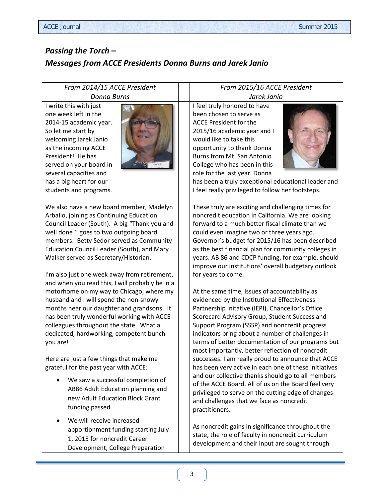### *Passing the Torch – Messages from ACCE Presidents Donna Burns and Jarek Janio*

#### *From 2014/15 ACCE President Donna Burns*

I write this with just one week left in the 2014-15 academic year. So let me start by welcoming Jarek Janio as the incoming ACCE President! He has served on your board in several capacities and has a big heart for our students and programs.



We also have a new board member, Madelyn Arballo, joining as Continuing Education Council Leader (South). A big "Thank you and well done!" goes to two outgoing board members: Betty Sedor served as Community Education Council Leader (South), and Mary Walker served as Secretary/Historian.

I'm also just one week away from retirement, and when you read this, I will probably be in a motorhome on my way to Chicago, where my husband and I will spend the non-snowy months near our daughter and grandsons. It has been truly wonderful working with ACCE colleagues throughout the state. What a dedicated, hardworking, competent bunch you are!

Here are just a few things that make me grateful for the past year with ACCE:

- We saw a successful completion of AB86 Adult Education planning and new Adult Education Block Grant funding passed.
- We will receive increased apportionment funding starting July 1, 2015 for noncredit Career Development, College Preparation

#### *From 2015/16 ACCE President Jarek Janio*

I feel truly honored to have been chosen to serve as ACCE President for the 2015/16 academic year and I would like to take this opportunity to thank Donna Burns from Mt. San Antonio College who has been in this role for the last year. Donna



has been a truly exceptional educational leader and I feel really privileged to follow her footsteps.

These truly are exciting and challenging times for noncredit education in California. We are looking forward to a much better fiscal climate than we could even imagine two or three years ago. Governor's budget for 2015/16 has been described as the best financial plan for community colleges in years. AB 86 and CDCP funding, for example, should improve our institutions' overall budgetary outlook for years to come.

At the same time, issues of accountability as evidenced by the Institutional Effectiveness Partnership Initative (IEPI), Chancellor's Office Scorecard Advisory Group, Student Success and Support Program (SSSP) and noncredit progress indicators bring about a number of challenges in terms of better documentation of our programs but most importantly, better reflection of noncredit successes. I am really proud to announce that ACCE has been very active in each one of these initiatives and our collective thanks should go to all members of the ACCE Board. All of us on the Board feel very privileged to serve on the cutting edge of changes and challenges that we face as noncredit practitioners.

As noncredit gains in significance throughout the state, the role of faculty in noncredit curriculum development and their input are sought through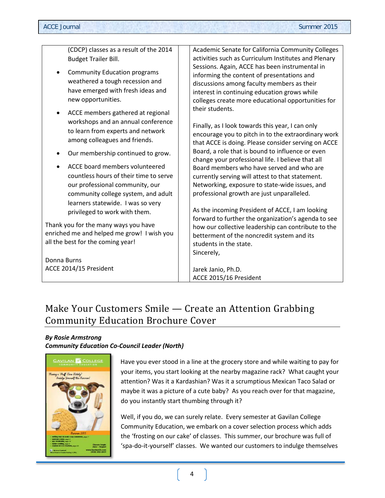| (CDCP) classes as a result of the 2014                                                                                                             | Academic Senate for California Community Colleges                                                                                                                                                                                                                                                                                                                                                                                     |
|----------------------------------------------------------------------------------------------------------------------------------------------------|---------------------------------------------------------------------------------------------------------------------------------------------------------------------------------------------------------------------------------------------------------------------------------------------------------------------------------------------------------------------------------------------------------------------------------------|
| <b>Budget Trailer Bill.</b>                                                                                                                        | activities such as Curriculum Institutes and Plenary                                                                                                                                                                                                                                                                                                                                                                                  |
| <b>Community Education programs</b><br>weathered a tough recession and<br>have emerged with fresh ideas and<br>new opportunities.                  | Sessions. Again, ACCE has been instrumental in<br>informing the content of presentations and<br>discussions among faculty members as their<br>interest in continuing education grows while<br>colleges create more educational opportunities for<br>their students.<br>Finally, as I look towards this year, I can only<br>encourage you to pitch in to the extraordinary work<br>that ACCE is doing. Please consider serving on ACCE |
| ACCE members gathered at regional<br>workshops and an annual conference<br>to learn from experts and network<br>among colleagues and friends.      |                                                                                                                                                                                                                                                                                                                                                                                                                                       |
| Our membership continued to grow.                                                                                                                  | Board, a role that is bound to influence or even<br>change your professional life. I believe that all                                                                                                                                                                                                                                                                                                                                 |
| ACCE board members volunteered<br>countless hours of their time to serve<br>our professional community, our<br>community college system, and adult | Board members who have served and who are<br>currently serving will attest to that statement.<br>Networking, exposure to state-wide issues, and<br>professional growth are just unparalleled.                                                                                                                                                                                                                                         |
| learners statewide. I was so very<br>privileged to work with them.                                                                                 | As the incoming President of ACCE, I am looking                                                                                                                                                                                                                                                                                                                                                                                       |
| Thank you for the many ways you have<br>enriched me and helped me grow! I wish you<br>all the best for the coming year!                            | forward to further the organization's agenda to see<br>how our collective leadership can contribute to the<br>betterment of the noncredit system and its<br>students in the state.                                                                                                                                                                                                                                                    |
| Donna Burns<br>ACCE 2014/15 President                                                                                                              | Jarek Janio, Ph.D.                                                                                                                                                                                                                                                                                                                                                                                                                    |
|                                                                                                                                                    | Sincerely,<br>ACCE 2015/16 President                                                                                                                                                                                                                                                                                                                                                                                                  |

# Make Your Customers Smile — Create an Attention Grabbing Community Education Brochure Cover

#### *By Rosie Armstrong Community Education Co-Council Leader (North)*



Have you ever stood in a line at the grocery store and while waiting to pay for your items, you start looking at the nearby magazine rack? What caught your attention? Was it a Kardashian? Was it a scrumptious Mexican Taco Salad or maybe it was a picture of a cute baby? As you reach over for that magazine, do you instantly start thumbing through it?

Well, if you do, we can surely relate. Every semester at Gavilan College Community Education, we embark on a cover selection process which adds the 'frosting on our cake' of classes. This summer, our brochure was full of 'spa-do-it-yourself' classes. We wanted our customers to indulge themselves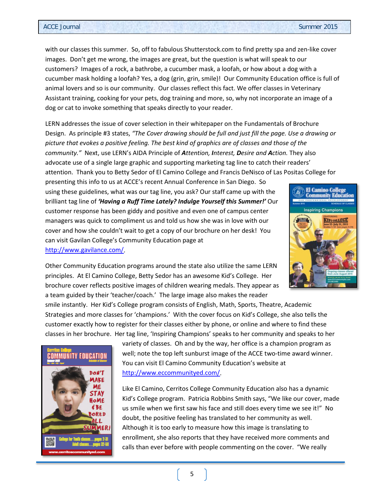with our classes this summer. So, off to fabulous Shutterstock.com to find pretty spa and zen-like cover images. Don't get me wrong, the images are great, but the question is what will speak to our customers? Images of a rock, a bathrobe, a cucumber mask, a loofah, or how about a dog with a cucumber mask holding a loofah? Yes, a dog (grin, grin, smile)! Our Community Education office is full of animal lovers and so is our community. Our classes reflect this fact. We offer classes in Veterinary Assistant training, cooking for your pets, dog training and more, so, why not incorporate an image of a dog or cat to invoke something that speaks directly to your reader.

LERN addresses the issue of cover selection in their whitepaper on the Fundamentals of Brochure Design. As principle #3 states, *"The Cover drawing should be full and just fill the page. Use a drawing or picture that evokes a positive feeling. The best kind of graphics are of classes and those of the community."* Next, use LERN's AIDA Principle of *Attention, Interest, Desire and Action.* They also advocate use of a single large graphic and supporting marketing tag line to catch their readers' attention. Thank you to Betty Sedor of El Camino College and Francis DeNisco of Las Positas College for

presenting this info to us at ACCE's recent Annual Conference in San Diego. So using these guidelines, what was our tag line, you ask? Our staff came up with the brilliant tag line of *'Having a Ruff Time Lately? Indulge Yourself this Summer!'* Our customer response has been giddy and positive and even one of campus center managers was quick to compliment us and told us how she was in love with our cover and how she couldn't wait to get a copy of our brochure on her desk! You can visit Gavilan College's Community Education page at [http://www.gavilance.com/.](http://www.gavilance.com/)



Other Community Education programs around the state also utilize the same LERN principles. At El Camino College, Betty Sedor has an awesome Kid's College. Her brochure cover reflects positive images of children wearing medals. They appear as a team guided by their 'teacher/coach.' The large image also makes the reader

smile instantly. Her Kid's College program consists of English, Math, Sports, Theatre, Academic Strategies and more classes for 'champions.' With the cover focus on Kid's College, she also tells the customer exactly how to register for their classes either by phone, or online and where to find these classes in her brochure. Her tag line, 'Inspiring Champions' speaks to her community and speaks to her



variety of classes. Oh and by the way, her office is a champion program as well; note the top left sunburst image of the ACCE two-time award winner. You can visit El Camino Community Education's website at [http://www.eccommunityed.com/.](http://www.eccommunityed.com/)

Like El Camino, Cerritos College Community Education also has a dynamic Kid's College program. Patricia Robbins Smith says, "We like our cover, made us smile when we first saw his face and still does every time we see it!" No doubt, the positive feeling has translated to her community as well. Although it is too early to measure how this image is translating to enrollment, she also reports that they have received more comments and calls than ever before with people commenting on the cover. "We really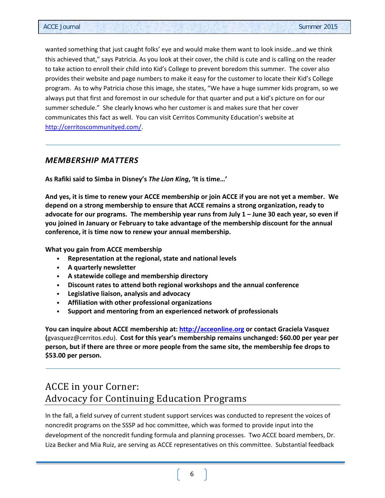wanted something that just caught folks' eye and would make them want to look inside…and we think this achieved that," says Patricia. As you look at their cover, the child is cute and is calling on the reader to take action to enroll their child into Kid's College to prevent boredom this summer. The cover also provides their website and page numbers to make it easy for the customer to locate their Kid's College program. As to why Patricia chose this image, she states, "We have a huge summer kids program, so we always put that first and foremost in our schedule for that quarter and put a kid's picture on for our summer schedule." She clearly knows who her customer is and makes sure that her cover communicates this fact as well. You can visit Cerritos Community Education's website at [http://cerritoscommunityed.com/.](http://cerritoscommunityed.com/)

#### *MEMBERSHIP MATTERS*

**As Rafiki said to Simba in Disney's** *The Lion King***, 'It is time…'**

**And yes, it is time to renew your ACCE membership or join ACCE if you are not yet a member. We depend on a strong membership to ensure that ACCE remains a strong organization, ready to advocate for our programs. The membership year runs from July 1 – June 30 each year, so even if you joined in January or February to take advantage of the membership discount for the annual conference, it is time now to renew your annual membership.**

**What you gain from ACCE membership** 

- **Representation at the regional, state and national levels**
- **A quarterly newsletter**
- **A statewide college and membership directory**
- **Discount rates to attend both regional workshops and the annual conference**
- **Legislative liaison, analysis and advocacy**
- **Affiliation with other professional organizations**
- **Support and mentoring from an experienced network of professionals**

**You can inquire about ACCE membership at: [http://acceonline.org](http://acceonline.org/) or contact Graciela Vasquez (**[gvasquez@cerritos.edu\)](mailto:gvasquez@cerritos.edu). **Cost for this year's membership remains unchanged: \$60.00 per year per person, but if there are three or more people from the same site, the membership fee drops to \$53.00 per person.**

# ACCE in your Corner: Advocacy for Continuing Education Programs

In the fall, a field survey of current student support services was conducted to represent the voices of noncredit programs on the SSSP ad hoc committee, which was formed to provide input into the development of the noncredit funding formula and planning processes. Two ACCE board members, Dr. Liza Becker and Mia Ruiz, are serving as ACCE representatives on this committee. Substantial feedback

6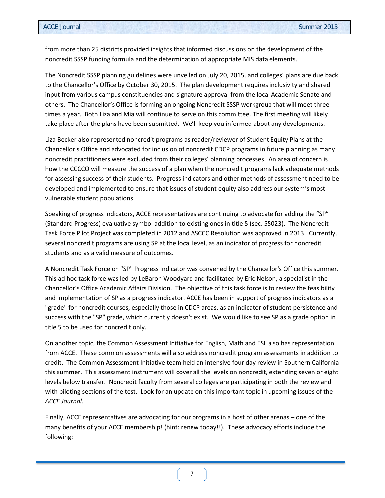from more than 25 districts provided insights that informed discussions on the development of the noncredit SSSP funding formula and the determination of appropriate MIS data elements.

The Noncredit SSSP planning guidelines were unveiled on July 20, 2015, and colleges' plans are due back to the Chancellor's Office by October 30, 2015. The plan development requires inclusivity and shared input from various campus constituencies and signature approval from the local Academic Senate and others. The Chancellor's Office is forming an ongoing Noncredit SSSP workgroup that will meet three times a year. Both Liza and Mia will continue to serve on this committee. The first meeting will likely take place after the plans have been submitted. We'll keep you informed about any developments.

Liza Becker also represented noncredit programs as reader/reviewer of Student Equity Plans at the Chancellor's Office and advocated for inclusion of noncredit CDCP programs in future planning as many noncredit practitioners were excluded from their colleges' planning processes. An area of concern is how the CCCCO will measure the success of a plan when the noncredit programs lack adequate methods for assessing success of their students. Progress indicators and other methods of assessment need to be developed and implemented to ensure that issues of student equity also address our system's most vulnerable student populations.

Speaking of progress indicators, ACCE representatives are continuing to advocate for adding the "SP" (Standard Progress) evaluative symbol addition to existing ones in title 5 (sec. 55023). The Noncredit Task Force Pilot Project was completed in 2012 and ASCCC Resolution was approved in 2013. Currently, several noncredit programs are using SP at the local level, as an indicator of progress for noncredit students and as a valid measure of outcomes.

A Noncredit Task Force on "SP" Progress Indicator was convened by the Chancellor's Office this summer. This ad hoc task force was led by LeBaron Woodyard and facilitated by Eric Nelson, a specialist in the Chancellor's Office Academic Affairs Division. The objective of this task force is to review the feasibility and implementation of SP as a progress indicator. ACCE has been in support of progress indicators as a "grade" for noncredit courses, especially those in CDCP areas, as an indicator of student persistence and success with the "SP" grade, which currently doesn't exist. We would like to see SP as a grade option in title 5 to be used for noncredit only.

On another topic, the Common Assessment Initiative for English, Math and ESL also has representation from ACCE. These common assessments will also address noncredit program assessments in addition to credit. The Common Assessment Initiative team held an intensive four day review in Southern California this summer. This assessment instrument will cover all the levels on noncredit, extending seven or eight levels below transfer. Noncredit faculty from several colleges are participating in both the review and with piloting sections of the test. Look for an update on this important topic in upcoming issues of the *ACCE Journal*.

Finally, ACCE representatives are advocating for our programs in a host of other arenas – one of the many benefits of your ACCE membership! (hint: renew today!!). These advocacy efforts include the following:

7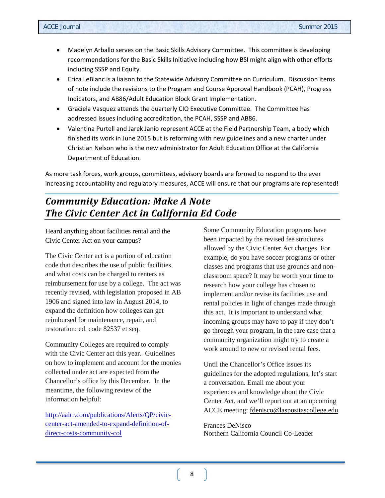- Madelyn Arballo serves on the Basic Skills Advisory Committee. This committee is developing recommendations for the Basic Skills Initiative including how BSI might align with other efforts including SSSP and Equity.
- Erica LeBlanc is a liaison to the Statewide Advisory Committee on Curriculum. Discussion items of note include the revisions to the Program and Course Approval Handbook (PCAH), Progress Indicators, and AB86/Adult Education Block Grant Implementation.
- Graciela Vasquez attends the quarterly CIO Executive Committee. The Committee has addressed issues including accreditation, the PCAH, SSSP and AB86.
- Valentina Purtell and Jarek Janio represent ACCE at the Field Partnership Team, a body which finished its work in June 2015 but is reforming with new guidelines and a new charter under Christian Nelson who is the new administrator for Adult Education Office at the California Department of Education.

As more task forces, work groups, committees, advisory boards are formed to respond to the ever increasing accountability and regulatory measures, ACCE will ensure that our programs are represented!

## *Community Education: Make A Note The Civic Center Act in California Ed Code*

Heard anything about facilities rental and the Civic Center Act on your campus?

The Civic Center act is a portion of education code that describes the use of public facilities, and what costs can be charged to renters as reimbursement for use by a college. The act was recently revised, with legislation proposed in AB 1906 and signed into law in August 2014, to expand the definition how colleges can get reimbursed for maintenance, repair, and restoration: ed. code 82537 et seq.

Community Colleges are required to comply with the Civic Center act this year. Guidelines on how to implement and account for the monies collected under act are expected from the Chancellor's office by this December. In the meantime, the following review of the information helpful:

[http://aalrr.com/publications/Alerts/QP/civic](http://aalrr.com/publications/Alerts/QP/civic-center-act-amended-to-expand-definition-of-direct-costs-community-col)[center-act-amended-to-expand-definition-of](http://aalrr.com/publications/Alerts/QP/civic-center-act-amended-to-expand-definition-of-direct-costs-community-col)[direct-costs-community-col](http://aalrr.com/publications/Alerts/QP/civic-center-act-amended-to-expand-definition-of-direct-costs-community-col)

Some Community Education programs have been impacted by the revised fee structures allowed by the Civic Center Act changes. For example, do you have soccer programs or other classes and programs that use grounds and nonclassroom space? It may be worth your time to research how your college has chosen to implement and/or revise its facilities use and rental policies in light of changes made through this act. It is important to understand what incoming groups may have to pay if they don't go through your program, in the rare case that a community organization might try to create a work around to new or revised rental fees.

Until the Chancellor's Office issues its guidelines for the adopted regulations, let's start a conversation. Email me about your experiences and knowledge about the Civic Center Act, and we'll report out at an upcoming ACCE meeting: [fdenisco@laspositascollege.edu](mailto:fdenisco@laspositascollege.edu)

Frances DeNisco Northern California Council Co-Leader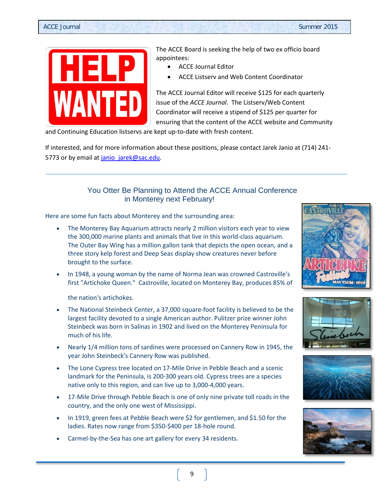

The ACCE Board is seeking the help of two ex officio board appointees:

- ACCE Journal Editor
- ACCE Listserv and Web Content Coordinator

The ACCE Journal Editor will receive \$125 for each quarterly issue of the *ACCE Journal*. The Listserv/Web Content Coordinator will receive a stipend of \$125 per quarter for ensuring that the content of the ACCE website and Community

and Continuing Education listservs are kept up-to-date with fresh content.

If interested, and for more information about these positions, please contact Jarek Janio at (714) 241 5773 or by email a[t janio\\_jarek@sac.edu.](mailto:janio_jarek@sac.edu)

#### You Otter Be Planning to Attend the ACCE Annual Conference in Monterey next February!

Here are some fun facts about Monterey and the surrounding area:

- The Monterey Bay Aquarium attracts nearly 2 million visitors each year to view the 300,000 marine plants and animals that live in this world-class aquarium. The Outer Bay Wing has a million gallon tank that depicts the open ocean, and a three story kelp forest and Deep Seas display show creatures never before brought to the surface.
- In 1948, a young woman by the name of Norma Jean was crowned Castroville's first "Artichoke Queen." Castroville, located on Monterey Bay, produces 85% of

the nation's artichokes.

- The National Steinbeck Center, a 37,000 square-foot facility is believed to be the largest facility devoted to a single American author. Pulitzer prize winner John Steinbeck was born in Salinas in 1902 and lived on the Monterey Peninsula for much of his life.
- Nearly 1/4 million tons of sardines were processed on Cannery Row in 1945, the year John Steinbeck's Cannery Row was published.
- The Lone Cypress tree located on 17-Mile Drive in Pebble Beach and a scenic landmark for the Peninsula, is 200-300 years old. Cypress trees are a species native only to this region, and can live up to 3,000-4,000 years.
- 17-Mile Drive through Pebble Beach is one of only nine private toll roads in the country, and the only one west of Mississippi.
- In 1919, green fees at Pebble Beach were \$2 for gentlemen, and \$1.50 for the ladies. Rates now range from \$350-\$400 per 18-hole round.
- Carmel-by-the-Sea has one art gallery for every 34 residents.







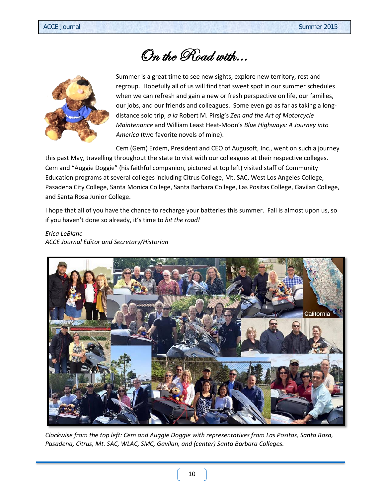# On the Road with…



Summer is a great time to see new sights, explore new territory, rest and regroup. Hopefully all of us will find that sweet spot in our summer schedules when we can refresh and gain a new or fresh perspective on life, our families, our jobs, and our friends and colleagues. Some even go as far as taking a longdistance solo trip, *a la* Robert M. Pirsig's *Zen and the Art of Motorcycle Maintenance* and William Least Heat-Moon's *Blue Highways: A Journey into America* (two favorite novels of mine).

Cem (Gem) Erdem, President and CEO of Augusoft, Inc., went on such a journey this past May, travelling throughout the state to visit with our colleagues at their respective colleges. Cem and "Auggie Doggie" (his faithful companion, pictured at top left) visited staff of Community Education programs at several colleges including Citrus College, Mt. SAC, West Los Angeles College, Pasadena City College, Santa Monica College, Santa Barbara College, Las Positas College, Gavilan College, and Santa Rosa Junior College.

I hope that all of you have the chance to recharge your batteries this summer. Fall is almost upon us, so if you haven't done so already, it's time to *hit the road!*

#### *Erica LeBlanc ACCE Journal Editor and Secretary/Historian*



*Clockwise from the top left: Cem and Auggie Doggie with representatives from Las Positas, Santa Rosa, Pasadena, Citrus, Mt. SAC, WLAC, SMC, Gavilan, and (center) Santa Barbara Colleges.*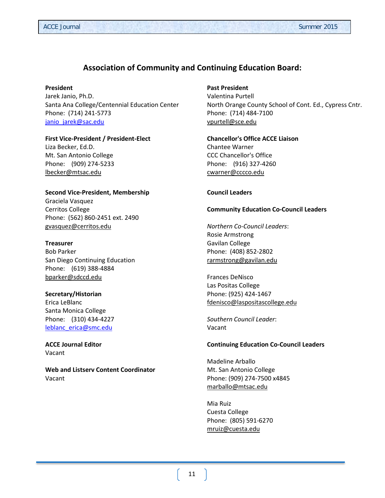#### **Association of Community and Continuing Education Board:**

#### **President**

Jarek Janio, Ph.D. Santa Ana College/Centennial Education Center Phone: (714) 241-5773 [janio\\_jarek@sac.edu](mailto:janio_jarek@sac.edu)

#### **First Vice-President / President-Elect**

Liza Becker, Ed.D. Mt. San Antonio College Phone: (909) 274-5233 [lbecker@mtsac.edu](mailto:lbecker@mtsac.edu)

#### **Second Vice-President, Membership**

Graciela Vasquez Cerritos College Phone: (562) 860-2451 ext. 2490 [gvasquez@cerritos.edu](mailto:gvasquez@cerritos.edu)

#### **Treasurer**

Bob Parker San Diego Continuing Education Phone: (619) 388-4884 [bparker@sdccd.edu](mailto:bparker@sdccd.edu)

#### **Secretary/Historian** Erica LeBlanc

Santa Monica College Phone: (310) 434-4227 [leblanc\\_erica@smc.edu](mailto:leblanc_erica@smc.edu)

**ACCE Journal Editor** Vacant

**Web and Listserv Content Coordinator** Vacant

#### **Past President**

Valentina Purtell North Orange County School of Cont. Ed., Cypress Cntr. Phone: (714) 484-7100 [vpurtell@sce.edu](mailto:vpurtell@sce.edu)

#### **Chancellor's Office ACCE Liaison** Chantee Warner CCC Chancellor's Office Phone: (916) 327-4260 [cwarner@cccco.edu](mailto:jescajeda@cccco.edu)

#### **Council Leaders**

#### **Community Education Co-Council Leaders**

*Northern Co-Council Leaders*: Rosie Armstrong Gavilan College Phone: (408) 852-2802 [rarmstrong@gavilan.edu](mailto:rarmstrong@gavilan.edu)

Frances DeNisco Las Positas College Phone: (925) 424-1467 [fdenisco@laspositascollege.edu](mailto:fdenisco@laspositascollege.edu)

*Southern Council Leader*: Vacant

#### **Continuing Education Co-Council Leaders**

Madeline Arballo Mt. San Antonio College Phone: (909) 274-7500 x4845 [marballo@mtsac.edu](mailto:marballo@mtsac.edu)

Mia Ruiz Cuesta College Phone: (805) 591-6270 [mruiz@cuesta.edu](mailto:mruiz@cuesta.edu)